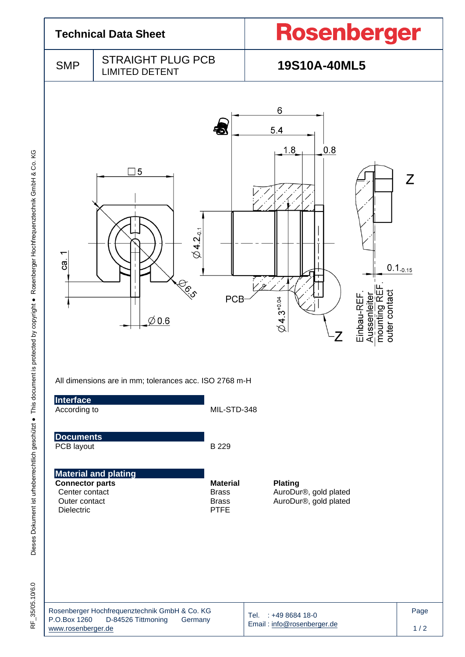

 $\frac{1}{\alpha}$